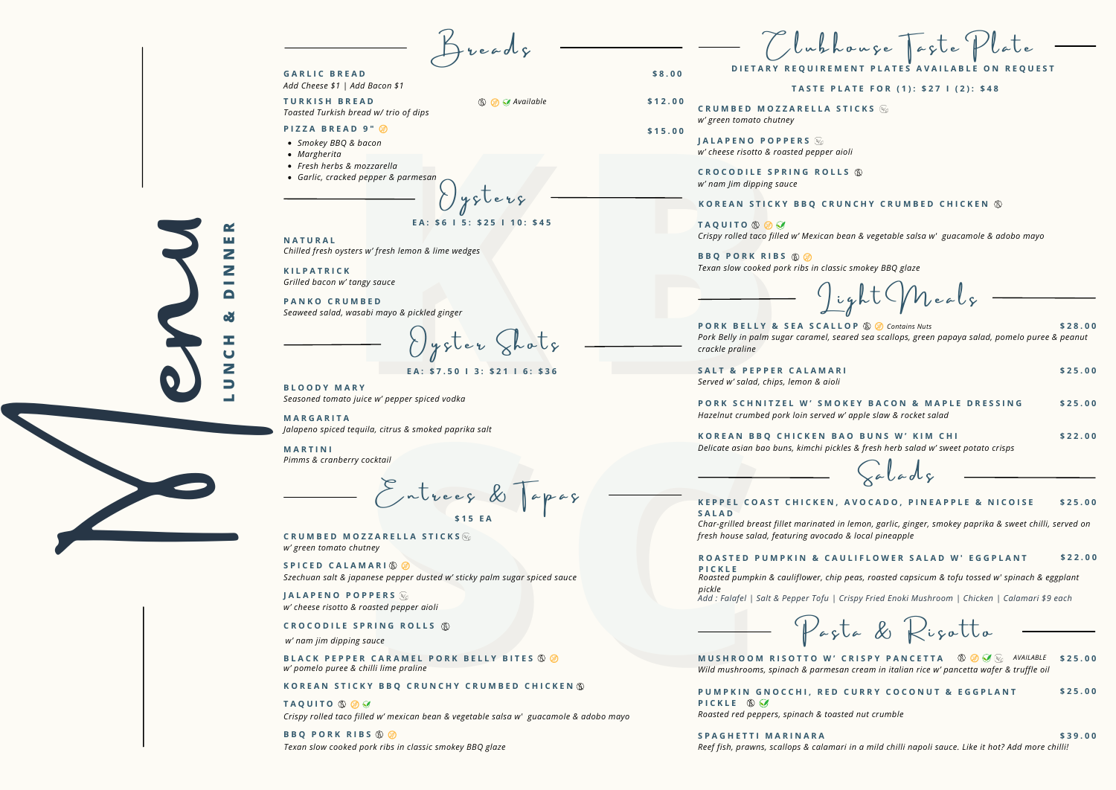PUMPKIN GNOCCHI, RED CURRY COCONUT & EGGPLANT **PICKLE**  $\otimes$   $\heartsuit$ *Roasted red peppers, spinach & toasted nut crumble*

Reef fish, prawns, scallops & calamari in a mild chilli napoli sauce. Like it hot? Add more chilli! **S P A G H E T T I M A R I N A R A \$ 3 9 . 0 0**

**\$ 2 5 . 0 0**

*w' green tomato chutney* **C R U M B E D M O Z Z A R E L L A S T I C K S**

**E A : \$ 7 . 5 0 I 3 : \$ 2 1 I 6 : \$ 3 6**

*w' nam jim dipping sauce*

*Roasted pumpkin & cauliflower, chip peas, roasted capsicum & tofu tossed w' spinach & eggplant pickle* Add : Falafel | Salt & Pepper Tofu | Crispy Fried Enoki Mushroom | Chicken | Calamari \$9 each



*Seasoned tomato juice w' pepper spiced vodka* **B L O O D Y M A R Y**

> ROASTED PUMPKIN & CAULIFLOWER SALAD W' EGGPLANT **\$ 2 2 . 0 0**

> > Pasta & Risatto

*Jalapeno spiced tequila, citrus & smoked paprika salt* **M A R G A R I T A**

*Pimms & cranberry cocktail* **M A R T I N I**

EXECUTE SOMETHING WEINTER CONTRACT UNITED BALLARELLA STICKS SALAD SALAD CONTRACT SOMETHING CONTRACT ON BELLA STICKS SALAD CONTRACT ON BELLA STICKS ON BELLA SALAD PLACT CONTRACT ON BELLA SALAD CONTRACT ON BELLA SALAD CONTRA  $\sum$ ntrees &  $\int$ apas **\$ 1 5 E A**

*Served w' salad, chips, lemon & aioli* **S A L T & P E P P E R C A L A M A R I \$ 2 5 . 0 0**

*Hazelnut crumbed pork loin served w* PORK SCHNITZEL W' SMO

*Delicate asian bao buns*, *kimchi pickl* **KOREAN BBQ CHICKEN BA** 

Menu **UNCH&D <sup>I</sup> <sup>N</sup> NER**

*Toasted Turkish bread w/ trio of dips* **TURKISH BREAD \$12.00** 

BLACK PEPPER CARAMEL PORK BELLY BITES 8 8 *w' pomelo puree & chilli lime praline*

## KOREAN STICKY BBQ CRUNCHY CRUMBED CHICKEN ®

*Crispy rolled taco filled w' mexican bean & vegetable salsa w' guacamole & adobo mayo* **TAOUITO 8 2 2** 

*w' nam Jim dipping sauce* **CROCODILE SPRING ROLLS**  $\circledS$ 

*Pork Belly in palm sugar caramel, seared sea scallops, green papaya salad, pomelo puree & peanut* **PORK BELLY & SEA SCALLOP ® Contains Nuts** \$28.00

|                                                                      | \$25.00 |
|----------------------------------------------------------------------|---------|
| <b>KEY BACON &amp; MAPLE DRESSING</b><br>' apple slaw & rocket salad | \$25.00 |
| O BUNS W' KIM CHI<br>es & fresh herb salad w' sweet potato crisps    | \$22.00 |
|                                                                      |         |

**P I C K L E**

 $B$  reads

*Add Cheese \$1 | Add Bacon \$1* **G A R L I C B R E A D \$ 8 . 0 0**

**L**

# KOREAN STICKY BBQ CRUNCHY CRUMBED CHICKEN ®

#### KEPPEL COAST CHICKEN, AVOCADO, PINEAPPLE & NICOISE **\$ 2 5 . 0 0**

*Wild mushrooms, spinach & parmesan cream in italian rice w' pancetta wafer & truffle oil* MUSHROOM RISOTTO W' CRISPY PANCETTA  $\circledR$   $\circledR$   $\circledR$  available \$25.00

**E A : \$ 6 I 5 : \$ 2 5 I 1 0 : \$ 4 5**

*Chilled fresh oysters w' fresh lemon & lime wedges* **N A T U R A L**

*Grilled bacon w' tangy sauce* **K I L P A T R I C K**

*Seaweed salad, wasabi mayo & pickled ginger* **P A N K O C R U M B E D**

**Kathering Contains and CROCODILE SPRINTS AND THE SPRINTS CONSULTS AND REALLY Review of peoper spiced volko and CROCODILE SPRINTS CONSULTS AND REALLY Review of peoper spiced volko and CROCODICE SPRINTS CONSULTS TRACTION OF**  $\bigcup$ ysler Shols

*w' cheese risotto & roasted pepper aioli* **J A L A P E N O P O P P E R S**

### $R$  **C ROCODILE SPRING ROLLS**  $R$

**B B Q P O R K R I B S** *Texan slow cooked pork ribs in classic smokey BBQ glaze*

Clubhouse Taste **TASTE PLATE FOR (1): \$27 | (2): \$48** DIETARY REOUIREMENT PLATES AVAILABLE ON REOUEST

*Crispy rolled taco filled w' Mexican bean & vegetable salsa w' guacamole & adobo mayo*

 $J$ ight (Meals

**T A Q U I T O**

*w' cheese risotto & roasted pepper aioli* **J A L A P E N O P O P P E R S**

*w' green tomato chutney* **C R U M B E D M O Z Z A R E L L A S T I C K S**

*Texan slow cooked pork ribs in classic smokey BBQ glaze* **B B Q P O R K R I B S**



*crackle praline*

*Char-grilled breast fillet marinated in lemon, garlic, ginger, smokey paprika & sweet chilli, served on fresh house salad, featuring avocado & local pineapple*

 $\zeta$ a lad $\zeta$ 

**S A L A D**

- *Smokey BBQ & bacon*
- *Margherita*
- *Fresh herbs & mozzarella*
- *Garlic, cracked pepper & parmesan*

 $0 y$ slers

# **P I Z Z A B R E A D 9 " \$ 1 5 . 0 0**

*Szechuan salt & japanese pepper dusted w' sticky palm sugar spiced sauce* **S P I C E D C A L A M A R I**